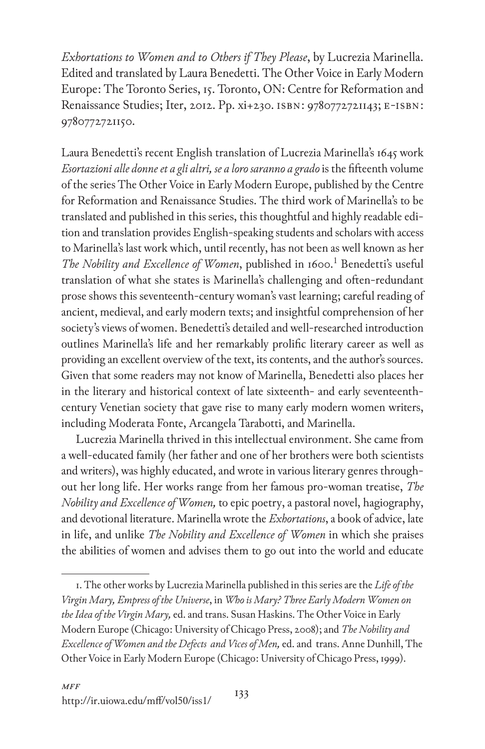*Exhortations to Women and to Others if They Please*, by Lucrezia Marinella. Edited and translated by Laura Benedetti. The Other Voice in Early Modern Europe: The Toronto Series, 15. Toronto, ON: Centre for Reformation and Renaissance Studies; Iter, 2012. Pp. xi+230. ISBN: 9780772721143; E-ISBN: 9780772721150.

Laura Benedetti's recent English translation of Lucrezia Marinella's 1645 work Esortazioni alle donne et a gli altri, se a loro saranno a grado is the fifteenth volume of the series The Other Voice in Early Modern Europe, published by the Centre for Reformation and Renaissance Studies. The third work of Marinella's to be translated and published in this series, this thoughtful and highly readable edition and translation provides English-speaking students and scholars with access to Marinella's last work which, until recently, has not been as well known as her The Nobility and Excellence of Women, published in 1600.<sup>1</sup> Benedetti's useful translation of what she states is Marinella's challenging and often-redundant prose shows this seventeenth-century woman's vast learning; careful reading of ancient, medieval, and early modern texts; and insightful comprehension of her society's views of women. Benedetti's detailed and well-researched introduction outlines Marinella's life and her remarkably prolific literary career as well as providing an excellent overview of the text, its contents, and the author's sources. Given that some readers may not know of Marinella, Benedetti also places her in the literary and historical context of late sixteenth- and early seventeenthcentury Venetian society that gave rise to many early modern women writers, including Moderata Fonte, Arcangela Tarabotti, and Marinella.

Lucrezia Marinella thrived in this intellectual environment. She came from a well-educated family (her father and one of her brothers were both scientists and writers), was highly educated, and wrote in various literary genres throughout her long life. Her works range from her famous pro-woman treatise, *The Nobility and Excellence of Women,* to epic poetry, a pastoral novel, hagiography, and devotional literature. Marinella wrote the *Exhortations*, a book of advice, late in life, and unlike *The Nobility and Excellence of Women* in which she praises the abilities of women and advises them to go out into the world and educate

<sup>1.</sup> The other works by Lucrezia Marinella published in this series are the *Life of the Virgin Mary, Empress of the Universe*, in *Who is Mary? Three Early Modern Women on the Idea of the Virgin Mary,* ed. and trans. Susan Haskins. The Other Voice in Early Modern Europe (Chicago: University of Chicago Press, 2008); and *The Nobility and Excellence of Women and the Defects and Vices of Men,* ed. and trans. Anne Dunhill, The Other Voice in Early Modern Europe (Chicago: University of Chicago Press, 1999).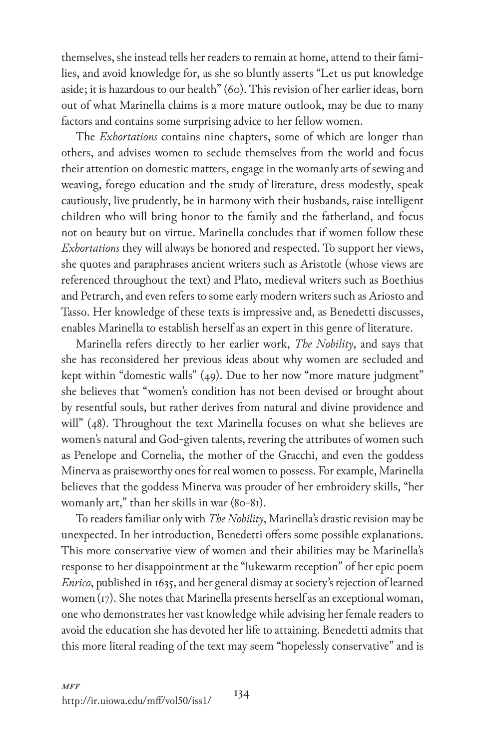themselves, she instead tells her readers to remain at home, attend to their families, and avoid knowledge for, as she so bluntly asserts "Let us put knowledge aside; it is hazardous to our health" (60). This revision of her earlier ideas, born out of what Marinella claims is a more mature outlook, may be due to many factors and contains some surprising advice to her fellow women.

The *Exhortations* contains nine chapters, some of which are longer than others, and advises women to seclude themselves from the world and focus their attention on domestic matters, engage in the womanly arts of sewing and weaving, forego education and the study of literature, dress modestly, speak cautiously, live prudently, be in harmony with their husbands, raise intelligent children who will bring honor to the family and the fatherland, and focus not on beauty but on virtue. Marinella concludes that if women follow these *Exhortations* they will always be honored and respected. To support her views, she quotes and paraphrases ancient writers such as Aristotle (whose views are referenced throughout the text) and Plato, medieval writers such as Boethius and Petrarch, and even refers to some early modern writers such as Ariosto and Tasso. Her knowledge of these texts is impressive and, as Benedetti discusses, enables Marinella to establish herself as an expert in this genre of literature.

Marinella refers directly to her earlier work, *The Nobility*, and says that she has reconsidered her previous ideas about why women are secluded and kept within "domestic walls" (49). Due to her now "more mature judgment" she believes that "women's condition has not been devised or brought about by resentful souls, but rather derives from natural and divine providence and will" (48). Throughout the text Marinella focuses on what she believes are women's natural and God-given talents, revering the attributes of women such as Penelope and Cornelia, the mother of the Gracchi, and even the goddess Minerva as praiseworthy ones for real women to possess. For example, Marinella believes that the goddess Minerva was prouder of her embroidery skills, "her womanly art," than her skills in war (80-81).

To readers familiar only with *The Nobility*, Marinella's drastic revision may be unexpected. In her introduction, Benedetti offers some possible explanations. This more conservative view of women and their abilities may be Marinella's response to her disappointment at the "lukewarm reception" of her epic poem *Enrico*, published in 1635, and her general dismay at society's rejection of learned women(17). She notes that Marinella presents herself as an exceptional woman, one who demonstrates her vast knowledge while advising her female readers to avoid the education she has devoted her life to attaining. Benedetti admits that this more literal reading of the text may seem "hopelessly conservative" and is